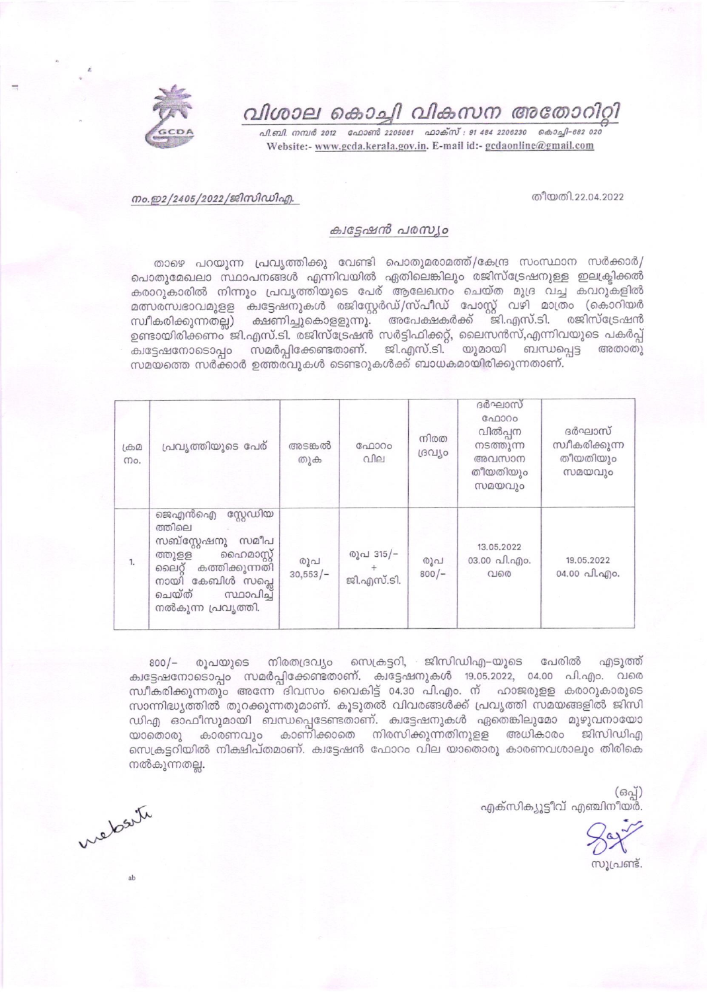

# വിശാല കൊച്ചി വികസന അതോറിറ്റി

வி. வி. எம் 2012 - வேறள ஜீ 2205081 - வாக்ஸ் : 91 484 2206230 - கெ வதி - 682 020 Website:- www.gcda.kerala.gov.in. E-mail id:- gcdaonline@gmail.com

#### തീയതി.22.04.2022

## നം.ഇ2/2405/2022/ജിസിഡിഎ.

### ക്വട്ടേഷൻ പരസ്യം

താഴെ പറയുന്ന പ്രവൃത്തിക്കു വേണ്ടി പൊതുമരാമത്ത്/കേന്ദ്ര സംസ്ഥാന സർക്കാർ/ പൊതുമേഖലാ സ്ഥാപനങ്ങൾ എന്നിവയിൽ ഏതിലെങ്കിലും രജിസ്ട്രേഷനുള്ള ഇലക്ട്രിക്കൽ കരാറുകാരിൽ നിന്നും പ്രവൃത്തിയുടെ പേര് ആലേഖനം ചെയ്ത മുദ്ര വച്ച കവറുകളിൽ മത്സരസ്വഭാവമുളള ക്വട്ടേഷനുകൾ രജിസ്റ്റേർഡ്/സ്പീഡ് പോസ്റ്റ് വഴി മാത്രം (കൊറിയർ സ്വീകരിക്കുന്നതല്ല) ക്ഷണിച്ചുകൊളളുന്നു. അപേക്ഷകർക്ക് ജി.എസ്.ടി. രജിസ്ട്രേഷൻ ഉണ്ടായിരിക്കണം ജി.എസ്.ടി. രജിസ്ട്രേഷൻ സർട്ടിഫിക്കറ്റ്, ലൈസൻസ്,എന്നിവയുടെ പകർപ്പ് ക്വട്ടേഷനോടൊപ്പം സമർപ്പിക്കേണ്ടതാണ്. ജി.എസ്.ടി. യുമായി ബന്ധപ്പെട്ട അതാതു സമയത്തെ സർക്കാർ ഉത്തരവുകൾ ടെണ്ടറുകൾക്ക് ബാധകമായിരിക്കുന്നതാണ്.

| $L \oplus \Omega$<br>mo. | പ്രവൃത്തിയുടെ പേര്                                                                                                                                                         | അടങ്കൽ<br>തുക     | ഫോറം<br>വില             | നിരത<br>ദ്രവീം | ദർഘാസ്<br>ഫോറം<br>വിൽപ്പന<br>നടത്തുന്ന<br>അവസാന<br>തീയതിയും<br>സമയവും | ദർഘാസ്<br>സ്വീകരിക്കുന്ന<br>തീയതിയും<br>സമയവും |
|--------------------------|----------------------------------------------------------------------------------------------------------------------------------------------------------------------------|-------------------|-------------------------|----------------|-----------------------------------------------------------------------|------------------------------------------------|
| 1.                       | സ്റ്റേഡിയ<br>ജെഎൻഐ<br>ത്തിലെ<br>സബ്സ്റ്റേഷനു<br>സമീപ<br>ഹൈമാസ്റ്റ്<br>ത്തുളള<br>കത്തിക്കുന്നതി<br>ലൈറ്റ്<br>നായി കേബിൾ സപ്ലെ<br>ചെയ്ത്<br>സ്ഥാപിച്ച്<br>നൽകുന്ന പ്രവൃത്തി. | രൂപ<br>$30,553/-$ | രൂപ 315/-<br>ജി.എസ്.ടി. | രുപ<br>$800/-$ | 13.05.2022<br>03.00 வி.வு)0.<br>വരെ                                   | 19.05.2022<br>04.00 வி.வு)0.                   |

800/– രൂപയുടെ നിരതദ്രവ്യം സെക്രട്ടറി, ജിസിഡിഎ–യുടെ പേരിൽ എടുത്ത് ക്വട്ടേഷനോടൊപ്പം സമർപ്പിക്കേണ്ടതാണ്. ക്വട്ടേഷനുകൾ 19.05.2022, 04.00 പി.എം. വരെ സ്ഥീകരിക്കുന്നതും അന്നേ ദിവസം വൈകിട്ട് 04.30 പി.എം. ന് ഹാജരുളള കരാറുകാരുടെ സാന്നിദ്ധ്യത്തിൽ തുറക്കുന്നതുമാണ്. കൂടുതൽ വിവരങ്ങൾക്ക് പ്രവൃത്തി സമയങ്ങളിൽ ജിസി ഡിഎ ഓഫീസുമായി ബന്ധപ്പെടേണ്ടതാണ്. ക്വട്ടേഷനുകൾ ഏതെങ്കിലുമോ മുഴുവനായോ യാതൊരു കാരണവും കാണിക്കാതെ നിരസിക്കുന്നതിനുളള അധികാരം ജിസിഡിഎ സെക്രട്ടറിയിൽ നിക്ഷിപ്തമാണ്. കുട്ടേഷൻ ഫോറം വില യാതൊരു കാരണവശാലും തിരികെ നൽകുന്നതല്ല.

> (ഒപ്പ്) എക്സിക്യൂട്ടീവ് എഞ്ചിനീയർ.

സൂപ്രണ്ട്

website

ah